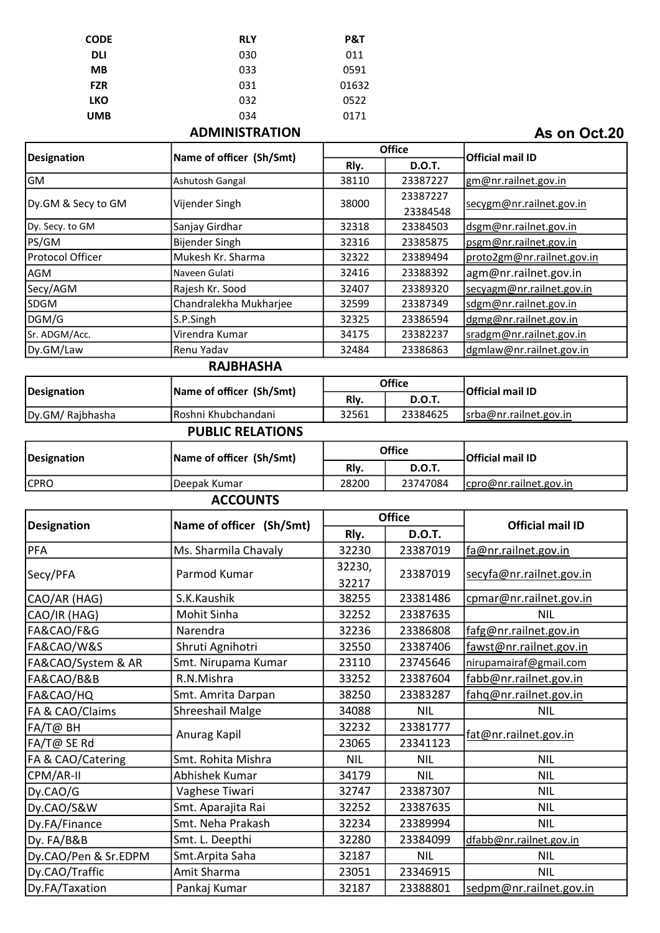| <b>CODE</b> | <b>RLY</b> | P&T   |
|-------------|------------|-------|
| <b>DLI</b>  | 030        | 011   |
| <b>MB</b>   | 033        | 0591  |
| <b>FZR</b>  | 031        | 01632 |
| <b>LKO</b>  | 032        | 0522  |
| <b>UMB</b>  | 034        | 0171  |
|             |            |       |

#### ADMINISTRATION

As on Oct.20

| <b>Designation</b>   | Name of officer (Sh/Smt) |               | <b>Office</b>        | <b>Official mail ID</b>    |
|----------------------|--------------------------|---------------|----------------------|----------------------------|
|                      |                          | Rly.          | <b>D.O.T.</b>        |                            |
| GM                   | Ashutosh Gangal          | 38110         | 23387227             | gm@nr.railnet.gov.in       |
| Dy.GM & Secy to GM   | Vijender Singh           | 38000         | 23387227<br>23384548 | secygm@nr.railnet.gov.in   |
| Dy. Secy. to GM      | Sanjay Girdhar           | 32318         | 23384503             | dsgm@nr.railnet.gov.in     |
| PS/GM                | <b>Bijender Singh</b>    | 32316         | 23385875             | psgm@nr.railnet.gov.in     |
| Protocol Officer     | Mukesh Kr. Sharma        | 32322         | 23389494             | proto2gm@nr.railnet.gov.in |
| AGM                  | Naveen Gulati            | 32416         | 23388392             | agm@nr.railnet.gov.in      |
| Secy/AGM             | Rajesh Kr. Sood          | 32407         | 23389320             | secyagm@nr.railnet.gov.in  |
| <b>SDGM</b>          | Chandralekha Mukharjee   | 32599         | 23387349             | sdgm@nr.railnet.gov.in     |
| DGM/G                | S.P.Singh                | 32325         | 23386594             | dgmg@nr.railnet.gov.in     |
| Sr. ADGM/Acc.        | Virendra Kumar           | 34175         | 23382237             | sradgm@nr.railnet.gov.in   |
| Dy.GM/Law            | Renu Yadav               | 32484         | 23386863             | dgmlaw@nr.railnet.gov.in   |
|                      | <b>RAJBHASHA</b>         |               |                      |                            |
| <b>Designation</b>   | Name of officer (Sh/Smt) |               | <b>Office</b>        | <b>Official mail ID</b>    |
|                      |                          | Rly.          | <b>D.O.T.</b>        |                            |
| Dy.GM/Rajbhasha      | Roshni Khubchandani      | 32561         | 23384625             | srba@nr.railnet.gov.in     |
|                      | <b>PUBLIC RELATIONS</b>  |               |                      |                            |
| <b>Designation</b>   | Name of officer (Sh/Smt) | <b>Office</b> |                      | <b>Official mail ID</b>    |
|                      |                          | Rly.          | <b>D.O.T.</b>        |                            |
| <b>CPRO</b>          | Deepak Kumar             | 28200         | 23747084             | cpro@nr.railnet.gov.in     |
|                      | <b>ACCOUNTS</b>          |               |                      |                            |
| <b>Designation</b>   | Name of officer (Sh/Smt) | <b>Office</b> |                      | <b>Official mail ID</b>    |
|                      |                          | Rly.          | <b>D.O.T.</b>        |                            |
| PFA                  | Ms. Sharmila Chavaly     | 32230         | 23387019             | fa@nr.railnet.gov.in       |
| Secy/PFA             | Parmod Kumar             | 32230,        | 23387019             | secyfa@nr.railnet.gov.in   |
|                      |                          | 32217         |                      |                            |
| CAO/AR (HAG)         | S.K.Kaushik              | 38255         | 23381486             | cpmar@nr.railnet.gov.in    |
| CAO/IR (HAG)         | Mohit Sinha              | 32252         | 23387635             | <b>NIL</b>                 |
| FA&CAO/F&G           | Narendra                 | 32236         | 23386808             | fafg@nr.railnet.gov.in     |
| FA&CAO/W&S           | Shruti Agnihotri         | 32550         | 23387406             | fawst@nr.railnet.gov.in    |
| FA&CAO/System & AR   | Smt. Nirupama Kumar      | 23110         | 23745646             | nirupamairaf@gmail.com     |
| FA&CAO/B&B           | R.N.Mishra               | 33252         | 23387604             | fabb@nr.railnet.gov.in     |
| FA&CAO/HQ            | Smt. Amrita Darpan       | 38250         | 23383287             | fahq@nr.railnet.gov.in     |
| FA & CAO/Claims      | Shreeshail Malge         | 34088         | <b>NIL</b>           | NIL                        |
| FA/T@ BH             |                          | 32232         | 23381777             | fat@nr.railnet.gov.in      |
| FA/T@ SE Rd          | Anurag Kapil             | 23065         | 23341123             |                            |
| FA & CAO/Catering    | Smt. Rohita Mishra       | <b>NIL</b>    | <b>NIL</b>           | <b>NIL</b>                 |
| CPM/AR-II            | Abhishek Kumar           | 34179         | <b>NIL</b>           | <b>NIL</b>                 |
| Dy.CAO/G             | Vaghese Tiwari           | 32747         | 23387307             | <b>NIL</b>                 |
| Dy.CAO/S&W           | Smt. Aparajita Rai       | 32252         | 23387635             | <b>NIL</b>                 |
| Dy.FA/Finance        | Smt. Neha Prakash        | 32234         | 23389994             | <b>NIL</b>                 |
| Dy. FA/B&B           | Smt. L. Deepthi          | 32280         | 23384099             | dfabb@nr.railnet.gov.in    |
| Dy.CAO/Pen & Sr.EDPM | Smt. Arpita Saha         | 32187         | <b>NIL</b>           | <b>NIL</b>                 |
| Dy.CAO/Traffic       | Amit Sharma              | 23051         | 23346915             | <b>NIL</b>                 |
| Dy.FA/Taxation       | Pankaj Kumar             | 32187         | 23388801             | sedpm@nr.railnet.gov.in    |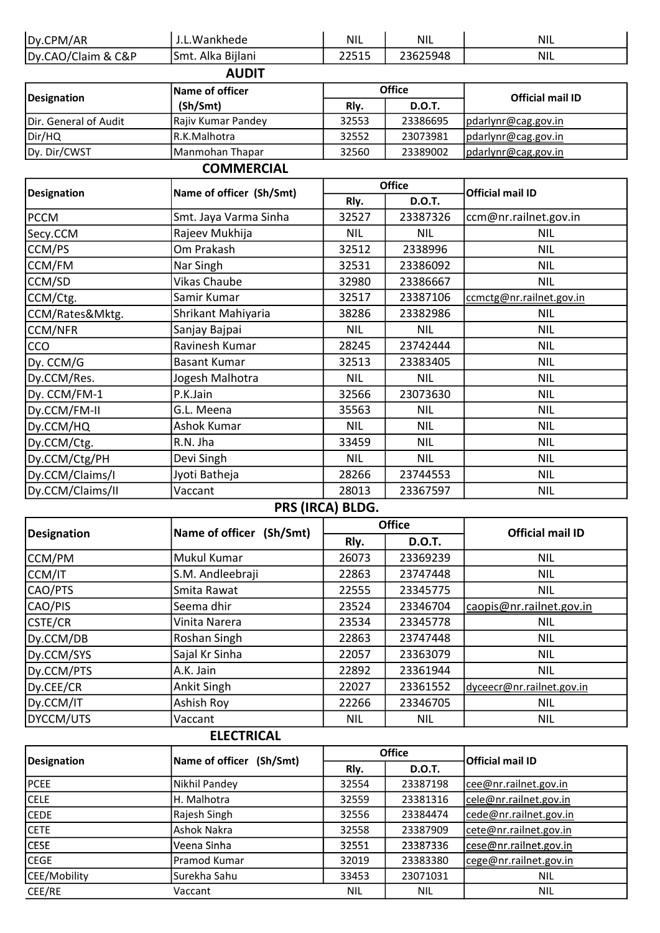| Dy.CPM/AR             | J.L.Wankhede             | <b>NIL</b> | <b>NIL</b>    | <b>NIL</b>               |  |  |
|-----------------------|--------------------------|------------|---------------|--------------------------|--|--|
| Dy.CAO/Claim & C&P    | Smt. Alka Bijlani        | 22515      | 23625948      | <b>NIL</b>               |  |  |
| <b>AUDIT</b>          |                          |            |               |                          |  |  |
|                       | Name of officer          |            | <b>Office</b> | <b>Official mail ID</b>  |  |  |
| <b>Designation</b>    | (Sh/Smt)                 | Rly.       | <b>D.O.T.</b> |                          |  |  |
| Dir. General of Audit | Rajiv Kumar Pandey       | 32553      | 23386695      | pdarlynr@cag.gov.in      |  |  |
| Dir/HQ                | R.K.Malhotra             | 32552      | 23073981      | pdarlynr@cag.gov.in      |  |  |
| Dy. Dir/CWST          | Manmohan Thapar          | 32560      | 23389002      | pdarlynr@cag.gov.in      |  |  |
|                       | <b>COMMERCIAL</b>        |            |               |                          |  |  |
| <b>Designation</b>    | Name of officer (Sh/Smt) |            | <b>Office</b> | <b>Official mail ID</b>  |  |  |
|                       |                          | Rly.       | <b>D.O.T.</b> |                          |  |  |
| <b>PCCM</b>           | Smt. Jaya Varma Sinha    | 32527      | 23387326      | ccm@nr.railnet.gov.in    |  |  |
| Secy.CCM              | Rajeev Mukhija           | <b>NIL</b> | <b>NIL</b>    | <b>NIL</b>               |  |  |
| CCM/PS                | Om Prakash               | 32512      | 2338996       | <b>NIL</b>               |  |  |
| CCM/FM                | Nar Singh                | 32531      | 23386092      | <b>NIL</b>               |  |  |
| CCM/SD                | <b>Vikas Chaube</b>      | 32980      | 23386667      | <b>NIL</b>               |  |  |
| CCM/Ctg.              | Samir Kumar              | 32517      | 23387106      | ccmctg@nr.railnet.gov.in |  |  |
| CCM/Rates&Mktg.       | Shrikant Mahiyaria       | 38286      | 23382986      | <b>NIL</b>               |  |  |
| <b>CCM/NFR</b>        | Sanjay Bajpai            | <b>NIL</b> | <b>NIL</b>    | <b>NIL</b>               |  |  |
| CCO                   | Ravinesh Kumar           | 28245      | 23742444      | <b>NIL</b>               |  |  |
| Dy. CCM/G             | <b>Basant Kumar</b>      | 32513      | 23383405      | <b>NIL</b>               |  |  |
| Dy.CCM/Res.           | Jogesh Malhotra          | <b>NIL</b> | <b>NIL</b>    | <b>NIL</b>               |  |  |
| Dy. CCM/FM-1          | P.K.Jain                 | 32566      | 23073630      | <b>NIL</b>               |  |  |
| Dy.CCM/FM-II          | G.L. Meena               | 35563      | <b>NIL</b>    | <b>NIL</b>               |  |  |
| Dy.CCM/HQ             | Ashok Kumar              | <b>NIL</b> | <b>NIL</b>    | <b>NIL</b>               |  |  |
| Dy.CCM/Ctg.           | R.N. Jha                 | 33459      | <b>NIL</b>    | <b>NIL</b>               |  |  |
| Dy.CCM/Ctg/PH         | Devi Singh               | <b>NIL</b> | <b>NIL</b>    | <b>NIL</b>               |  |  |
| Dy.CCM/Claims/I       | Jyoti Batheja            | 28266      | 23744553      | <b>NIL</b>               |  |  |
| Dy.CCM/Claims/II      | Vaccant                  | 28013      | 23367597      | <b>NIL</b>               |  |  |

# PRS (IRCA) BLDG.

|             | Name of officer (Sh/Smt) |            | <b>Office</b> | <b>Official mail ID</b>   |
|-------------|--------------------------|------------|---------------|---------------------------|
| Designation |                          | Rly.       | <b>D.O.T.</b> |                           |
| CCM/PM      | Mukul Kumar              | 26073      | 23369239      | <b>NIL</b>                |
| CCM/IT      | S.M. Andleebraji         | 22863      | 23747448      | <b>NIL</b>                |
| CAO/PTS     | Smita Rawat              | 22555      | 23345775      | <b>NIL</b>                |
| CAO/PIS     | Seema dhir               | 23524      | 23346704      | caopis@nr.railnet.gov.in  |
| CSTE/CR     | Vinita Narera            | 23534      | 23345778      | <b>NIL</b>                |
| Dy.CCM/DB   | Roshan Singh             | 22863      | 23747448      | <b>NIL</b>                |
| Dy.CCM/SYS  | Sajal Kr Sinha           | 22057      | 23363079      | <b>NIL</b>                |
| Dy.CCM/PTS  | A.K. Jain                | 22892      | 23361944      | <b>NIL</b>                |
| Dy.CEE/CR   | Ankit Singh              | 22027      | 23361552      | dyceecr@nr.railnet.gov.in |
| Dy.CCM/IT   | Ashish Roy               | 22266      | 23346705      | <b>NIL</b>                |
| DYCCM/UTS   | Vaccant                  | <b>NIL</b> | <b>NIL</b>    | <b>NIL</b>                |

#### ELECTRICAL

| Designation  | Name of officer (Sh/Smt) | <b>Office</b> |               | <b>Official mail ID</b> |
|--------------|--------------------------|---------------|---------------|-------------------------|
|              |                          | Rly.          | <b>D.O.T.</b> |                         |
| <b>PCEE</b>  | Nikhil Pandey            | 32554         | 23387198      | cee@nr.railnet.gov.in   |
| <b>CELE</b>  | H. Malhotra              | 32559         | 23381316      | cele@nr.railnet.gov.in  |
| <b>CEDE</b>  | Rajesh Singh             | 32556         | 23384474      | cede@nr.railnet.gov.in  |
| <b>CETE</b>  | Ashok Nakra              | 32558         | 23387909      | cete@nr.railnet.gov.in  |
| <b>CESE</b>  | Veena Sinha              | 32551         | 23387336      | cese@nr.railnet.gov.in  |
| <b>CEGE</b>  | Pramod Kumar             | 32019         | 23383380      | cege@nr.railnet.gov.in  |
| CEE/Mobility | Surekha Sahu             | 33453         | 23071031      | <b>NIL</b>              |
| CEE/RE       | Vaccant                  | <b>NIL</b>    | <b>NIL</b>    | <b>NIL</b>              |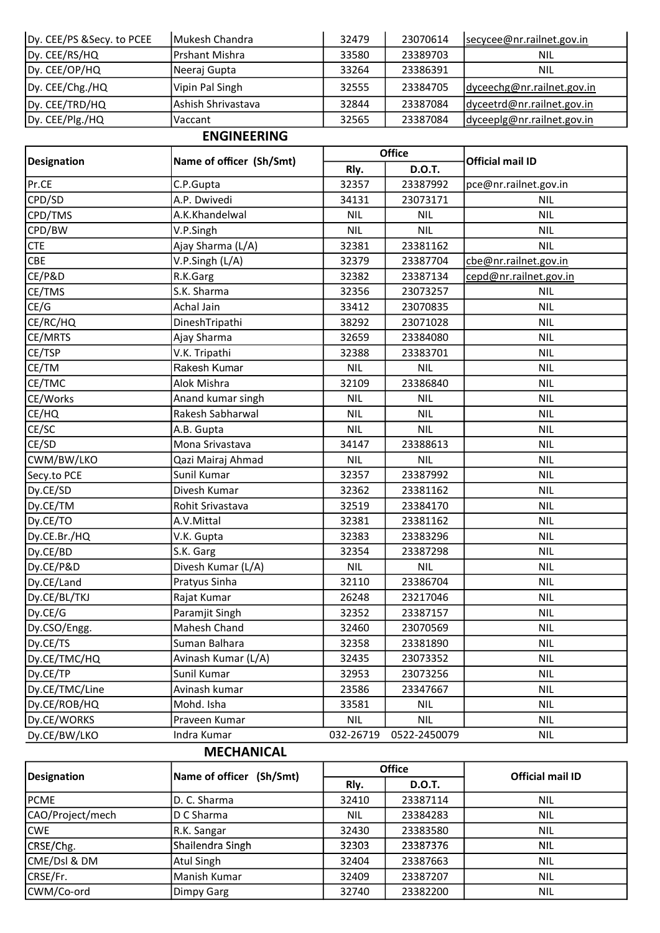| Dy. CEE/PS & Secy. to PCEE | lMukesh Chandra    | 32479 | 23070614 | secycee@nr.railnet.gov.in  |
|----------------------------|--------------------|-------|----------|----------------------------|
| Dy. CEE/RS/HQ              | Prshant Mishra     | 33580 | 23389703 | NIL                        |
| Dy. CEE/OP/HQ              | Neeraj Gupta       | 33264 | 23386391 | <b>NIL</b>                 |
| Dy. CEE/Chg./HQ            | Vipin Pal Singh    | 32555 | 23384705 | dyceechg@nr.railnet.gov.in |
| Dy. CEE/TRD/HQ             | Ashish Shrivastava | 32844 | 23387084 | dyceetrd@nr.railnet.gov.in |
| Dy. CEE/Plg./HQ            | Vaccant            | 32565 | 23387084 | dyceeplg@nr.railnet.gov.in |

# ENGINEERING

| <b>Designation</b> | Name of officer (Sh/Smt) | <b>Office</b> |               | <b>Official mail ID</b> |
|--------------------|--------------------------|---------------|---------------|-------------------------|
|                    |                          | Rly.          | <b>D.O.T.</b> |                         |
| Pr.CE              | C.P.Gupta                | 32357         | 23387992      | pce@nr.railnet.gov.in   |
| CPD/SD             | A.P. Dwivedi             | 34131         | 23073171      | <b>NIL</b>              |
| CPD/TMS            | A.K.Khandelwal           | <b>NIL</b>    | <b>NIL</b>    | <b>NIL</b>              |
| CPD/BW             | V.P.Singh                | <b>NIL</b>    | <b>NIL</b>    | <b>NIL</b>              |
| <b>CTE</b>         | Ajay Sharma (L/A)        | 32381         | 23381162      | <b>NIL</b>              |
| <b>CBE</b>         | V.P.Singh (L/A)          | 32379         | 23387704      | cbe@nr.railnet.gov.in   |
| CE/P&D             | R.K.Garg                 | 32382         | 23387134      | cepd@nr.railnet.gov.in  |
| CE/TMS             | S.K. Sharma              | 32356         | 23073257      | <b>NIL</b>              |
| CE/G               | Achal Jain               | 33412         | 23070835      | <b>NIL</b>              |
| CE/RC/HQ           | DineshTripathi           | 38292         | 23071028      | <b>NIL</b>              |
| CE/MRTS            | Ajay Sharma              | 32659         | 23384080      | <b>NIL</b>              |
| CE/TSP             | V.K. Tripathi            | 32388         | 23383701      | <b>NIL</b>              |
| CE/TM              | Rakesh Kumar             | <b>NIL</b>    | <b>NIL</b>    | <b>NIL</b>              |
| CE/TMC             | Alok Mishra              | 32109         | 23386840      | <b>NIL</b>              |
| CE/Works           | Anand kumar singh        | <b>NIL</b>    | <b>NIL</b>    | <b>NIL</b>              |
| CE/HQ              | Rakesh Sabharwal         | <b>NIL</b>    | <b>NIL</b>    | <b>NIL</b>              |
| CE/SC              | A.B. Gupta               | <b>NIL</b>    | <b>NIL</b>    | <b>NIL</b>              |
| CE/SD              | Mona Srivastava          | 34147         | 23388613      | <b>NIL</b>              |
| CWM/BW/LKO         | Qazi Mairaj Ahmad        | <b>NIL</b>    | <b>NIL</b>    | <b>NIL</b>              |
| Secy.to PCE        | Sunil Kumar              | 32357         | 23387992      | <b>NIL</b>              |
| Dy.CE/SD           | Divesh Kumar             | 32362         | 23381162      | <b>NIL</b>              |
| Dy.CE/TM           | Rohit Srivastava         | 32519         | 23384170      | <b>NIL</b>              |
| Dy.CE/TO           | A.V.Mittal               | 32381         | 23381162      | <b>NIL</b>              |
| Dy.CE.Br./HQ       | V.K. Gupta               | 32383         | 23383296      | <b>NIL</b>              |
| Dy.CE/BD           | S.K. Garg                | 32354         | 23387298      | <b>NIL</b>              |
| Dy.CE/P&D          | Divesh Kumar (L/A)       | <b>NIL</b>    | <b>NIL</b>    | <b>NIL</b>              |
| Dy.CE/Land         | Pratyus Sinha            | 32110         | 23386704      | <b>NIL</b>              |
| Dy.CE/BL/TKJ       | Rajat Kumar              | 26248         | 23217046      | <b>NIL</b>              |
| Dy.CE/G            | Paramjit Singh           | 32352         | 23387157      | <b>NIL</b>              |
| Dy.CSO/Engg.       | Mahesh Chand             | 32460         | 23070569      | <b>NIL</b>              |
| Dy.CE/TS           | Suman Balhara            | 32358         | 23381890      | NIL                     |
| Dy.CE/TMC/HQ       | Avinash Kumar (L/A)      | 32435         | 23073352      | NIL                     |
| Dy.CE/TP           | Sunil Kumar              | 32953         | 23073256      | <b>NIL</b>              |
| Dy.CE/TMC/Line     | Avinash kumar            | 23586         | 23347667      | <b>NIL</b>              |
| Dy.CE/ROB/HQ       | Mohd. Isha               | 33581         | <b>NIL</b>    | <b>NIL</b>              |
| Dy.CE/WORKS        | Praveen Kumar            | <b>NIL</b>    | <b>NIL</b>    | <b>NIL</b>              |
| Dy.CE/BW/LKO       | Indra Kumar              | 032-26719     | 0522-2450079  | <b>NIL</b>              |

## MECHANICAL

| <b>Designation</b> | Name of officer (Sh/Smt) | <b>Office</b> |               | <b>Official mail ID</b> |
|--------------------|--------------------------|---------------|---------------|-------------------------|
|                    |                          | Rly.          | <b>D.O.T.</b> |                         |
| PCME               | ID. C. Sharma            | 32410         | 23387114      | <b>NIL</b>              |
| CAO/Project/mech   | D C Sharma               | <b>NIL</b>    | 23384283      | <b>NIL</b>              |
| <b>CWE</b>         | R.K. Sangar              | 32430         | 23383580      | <b>NIL</b>              |
| CRSE/Chg.          | Shailendra Singh         | 32303         | 23387376      | <b>NIL</b>              |
| CME/Dsl & DM       | <b>Atul Singh</b>        | 32404         | 23387663      | <b>NIL</b>              |
| CRSE/Fr.           | Manish Kumar             | 32409         | 23387207      | <b>NIL</b>              |
| CWM/Co-ord         | Dimpy Garg               | 32740         | 23382200      | <b>NIL</b>              |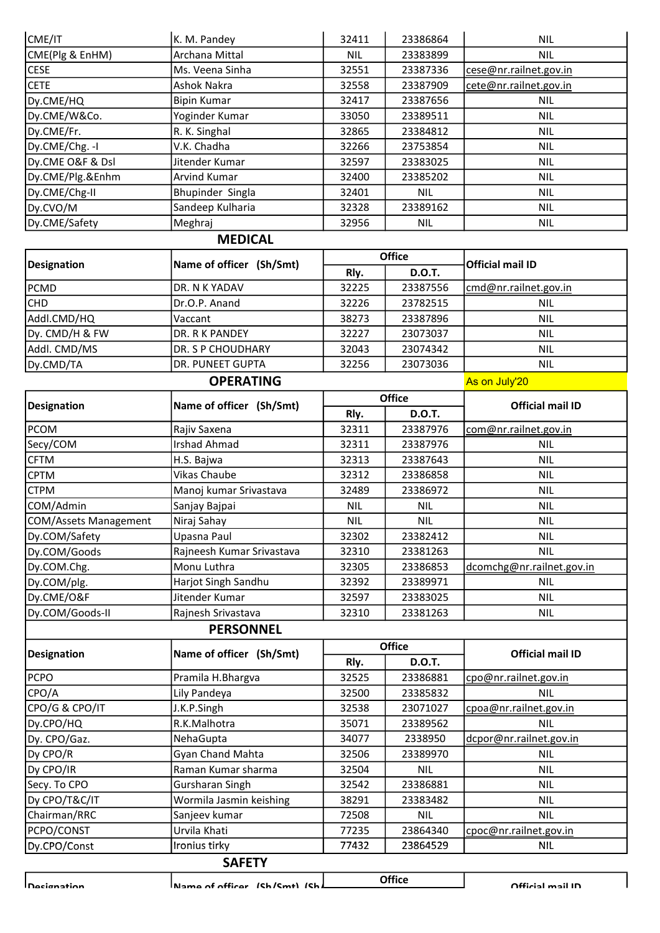| CME/IT                | K. M. Pandey              | 32411         | 23386864      | <b>NIL</b>                |
|-----------------------|---------------------------|---------------|---------------|---------------------------|
| CME(Plg & EnHM)       | Archana Mittal            | <b>NIL</b>    | 23383899      | <b>NIL</b>                |
| <b>CESE</b>           | Ms. Veena Sinha           | 32551         | 23387336      | cese@nr.railnet.gov.in    |
| <b>CETE</b>           | <b>Ashok Nakra</b>        | 32558         | 23387909      | cete@nr.railnet.gov.in    |
| Dy.CME/HQ             | <b>Bipin Kumar</b>        | 32417         | 23387656      | <b>NIL</b>                |
| Dy.CME/W&Co.          | Yoginder Kumar            | 33050         | 23389511      | <b>NIL</b>                |
| Dy.CME/Fr.            | R. K. Singhal             | 32865         | 23384812      | <b>NIL</b>                |
| Dy.CME/Chg. - I       | V.K. Chadha               | 32266         | 23753854      | <b>NIL</b>                |
| Dy.CME O&F & Dsl      | Jitender Kumar            | 32597         | 23383025      | <b>NIL</b>                |
| Dy.CME/Plg.&Enhm      | <b>Arvind Kumar</b>       | 32400         | 23385202      | <b>NIL</b>                |
| Dy.CME/Chg-II         | Bhupinder Singla          | 32401         | <b>NIL</b>    | <b>NIL</b>                |
| Dy.CVO/M              | Sandeep Kulharia          | 32328         | 23389162      | <b>NIL</b>                |
| Dy.CME/Safety         | Meghraj                   | 32956         | NIL           | <b>NIL</b>                |
|                       | <b>MEDICAL</b>            |               |               |                           |
|                       |                           |               | <b>Office</b> |                           |
| <b>Designation</b>    | Name of officer (Sh/Smt)  | Rly.          | <b>D.O.T.</b> | <b>Official mail ID</b>   |
| PCMD                  | DR. N K YADAV             | 32225         | 23387556      | cmd@nr.railnet.gov.in     |
| <b>CHD</b>            | Dr.O.P. Anand             | 32226         | 23782515      | <b>NIL</b>                |
| Addl.CMD/HQ           | Vaccant                   | 38273         | 23387896      | <b>NIL</b>                |
| Dy. CMD/H & FW        | DR. R K PANDEY            | 32227         | 23073037      | <b>NIL</b>                |
| Addl. CMD/MS          | DR. S P CHOUDHARY         | 32043         | 23074342      | <b>NIL</b>                |
| Dy.CMD/TA             | DR. PUNEET GUPTA          | 32256         | 23073036      | <b>NIL</b>                |
|                       | <b>OPERATING</b>          |               |               | As on July'20             |
|                       |                           |               | <b>Office</b> |                           |
| <b>Designation</b>    | Name of officer (Sh/Smt)  | Rly.          | <b>D.O.T.</b> | <b>Official mail ID</b>   |
| <b>PCOM</b>           | Rajiv Saxena              | 32311         | 23387976      | com@nr.railnet.gov.in     |
| Secy/COM              | <b>Irshad Ahmad</b>       | 32311         | 23387976      | <b>NIL</b>                |
| <b>CFTM</b>           | H.S. Bajwa                | 32313         | 23387643      | <b>NIL</b>                |
| <b>CPTM</b>           | Vikas Chaube              | 32312         | 23386858      | <b>NIL</b>                |
| <b>CTPM</b>           | Manoj kumar Srivastava    | 32489         | 23386972      | <b>NIL</b>                |
| COM/Admin             | Sanjay Bajpai             | <b>NIL</b>    | <b>NIL</b>    | <b>NIL</b>                |
| COM/Assets Management | Niraj Sahay               | <b>NIL</b>    | <b>NIL</b>    | <b>NIL</b>                |
| Dy.COM/Safety         | Upasna Paul               | 32302         | 23382412      | <b>NIL</b>                |
| Dy.COM/Goods          | Rajneesh Kumar Srivastava | 32310         | 23381263      | <b>NIL</b>                |
| Dy.COM.Chg.           | Monu Luthra               | 32305         | 23386853      | dcomchg@nr.railnet.gov.in |
| Dy.COM/plg.           | Harjot Singh Sandhu       | 32392         | 23389971      | <b>NIL</b>                |
| Dy.CME/O&F            | Jitender Kumar            | 32597         | 23383025      | <b>NIL</b>                |
| Dy.COM/Goods-II       | Rajnesh Srivastava        | 32310         | 23381263      | <b>NIL</b>                |
|                       | <b>PERSONNEL</b>          |               |               |                           |
|                       | Name of officer (Sh/Smt)  | <b>Office</b> |               | <b>Official mail ID</b>   |
| <b>Designation</b>    |                           | Rly.          | <b>D.O.T.</b> |                           |
| <b>PCPO</b>           | Pramila H.Bhargva         | 32525         | 23386881      | cpo@nr.railnet.gov.in     |
| CPO/A                 | Lily Pandeya              | 32500         | 23385832      | <b>NIL</b>                |
| CPO/G & CPO/IT        | J.K.P.Singh               | 32538         | 23071027      | cpoa@nr.railnet.gov.in    |
| Dy.CPO/HQ             | R.K.Malhotra              | 35071         | 23389562      | <b>NIL</b>                |
| Dy. CPO/Gaz.          | NehaGupta                 | 34077         | 2338950       | dcpor@nr.railnet.gov.in   |
| Dy CPO/R              | Gyan Chand Mahta          | 32506         | 23389970      | <b>NIL</b>                |
| Dy CPO/IR             | Raman Kumar sharma        | 32504         | <b>NIL</b>    | <b>NIL</b>                |
| Secy. To CPO          |                           |               |               |                           |
|                       | Gursharan Singh           | 32542         | 23386881      | <b>NIL</b>                |
| Dy CPO/T&C/IT         | Wormila Jasmin keishing   | 38291         | 23383482      | <b>NIL</b>                |
| Chairman/RRC          | Sanjeev kumar             | 72508         | <b>NIL</b>    | <b>NIL</b>                |
| PCPO/CONST            | Urvila Khati              | 77235         | 23864340      | cpoc@nr.railnet.gov.in    |
| Dy.CPO/Const          | Ironius tirky             | 77432         | 23864529      | <b>NIL</b>                |

Designation Name of officer (Sh/Smt) (Sh/Smt) Office Official mail ID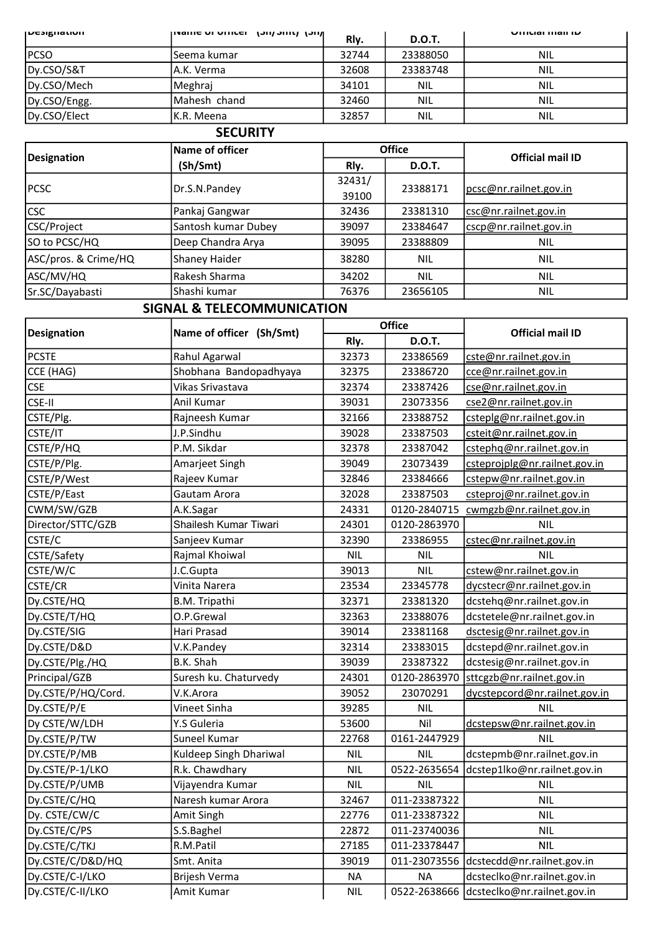| <b>ILCSIKIIQUUII</b> | וויכן נוווכ <i>וויטן</i> וסאוווט וט אוווארון | RI <sub>v</sub> . | <b>D.O.T.</b> | UIIILIAI IIIAII IU |
|----------------------|----------------------------------------------|-------------------|---------------|--------------------|
| <b>PCSO</b>          | lSeema kumar                                 | 32744             | 23388050      | <b>NIL</b>         |
| Dy.CSO/S&T           | IA.K. Verma                                  | 32608             | 23383748      | <b>NIL</b>         |
| Dy.CSO/Mech          | Meghraj                                      | 34101             | <b>NIL</b>    | <b>NIL</b>         |
| Dy.CSO/Engg.         | IMahesh chand                                | 32460             | <b>NIL</b>    | <b>NIL</b>         |
| Dy.CSO/Elect         | IK.R. Meena                                  | 32857             | <b>NIL</b>    | <b>NIL</b>         |

#### **SECURITY**

| Designation          | Name of officer     |        | <b>Office</b> | <b>Official mail ID</b> |
|----------------------|---------------------|--------|---------------|-------------------------|
|                      | (Sh/Smt)            | Rly.   | <b>D.O.T.</b> |                         |
| <b>PCSC</b>          | Dr.S.N.Pandey       | 32431/ | 23388171      | pcsc@nr.railnet.gov.in  |
|                      |                     | 39100  |               |                         |
| <b>CSC</b>           | Pankaj Gangwar      | 32436  | 23381310      | csc@nr.railnet.gov.in   |
| CSC/Project          | Santosh kumar Dubey | 39097  | 23384647      | cscp@nr.railnet.gov.in  |
| SO to PCSC/HQ        | Deep Chandra Arya   | 39095  | 23388809      | <b>NIL</b>              |
| ASC/pros. & Crime/HQ | Shaney Haider       | 38280  | <b>NIL</b>    | <b>NIL</b>              |
| ASC/MV/HQ            | Rakesh Sharma       | 34202  | <b>NIL</b>    | <b>NIL</b>              |
| Sr.SC/Dayabasti      | Shashi kumar        | 76376  | 23656105      | <b>NIL</b>              |

## SIGNAL & TELECOMMUNICATION

|                    |                          |            | <b>Office</b> | <b>Official mail ID</b>                  |
|--------------------|--------------------------|------------|---------------|------------------------------------------|
| <b>Designation</b> | Name of officer (Sh/Smt) | Rly.       | <b>D.O.T.</b> |                                          |
| <b>PCSTE</b>       | Rahul Agarwal            | 32373      | 23386569      | cste@nr.railnet.gov.in                   |
| CCE (HAG)          | Shobhana Bandopadhyaya   | 32375      | 23386720      | cce@nr.railnet.gov.in                    |
| <b>CSE</b>         | Vikas Srivastava         | 32374      | 23387426      | cse@nr.railnet.gov.in                    |
| CSE-II             | Anil Kumar               | 39031      | 23073356      | cse2@nr.railnet.gov.in                   |
| CSTE/Plg.          | Rajneesh Kumar           | 32166      | 23388752      | csteplg@nr.railnet.gov.in                |
| CSTE/IT            | J.P.Sindhu               | 39028      | 23387503      | csteit@nr.railnet.gov.in                 |
| CSTE/P/HQ          | P.M. Sikdar              | 32378      | 23387042      | cstephq@nr.railnet.gov.in                |
| CSTE/P/Plg.        | Amarjeet Singh           | 39049      | 23073439      | csteprojplg@nr.railnet.gov.in            |
| CSTE/P/West        | Rajeev Kumar             | 32846      | 23384666      | cstepw@nr.railnet.gov.in                 |
| CSTE/P/East        | Gautam Arora             | 32028      | 23387503      | csteproj@nr.railnet.gov.in               |
| CWM/SW/GZB         | A.K.Sagar                | 24331      | 0120-2840715  | cwmgzb@nr.railnet.gov.in                 |
| Director/STTC/GZB  | Shailesh Kumar Tiwari    | 24301      | 0120-2863970  | <b>NIL</b>                               |
| CSTE/C             | Sanjeev Kumar            | 32390      | 23386955      | cstec@nr.railnet.gov.in                  |
| CSTE/Safety        | Rajmal Khoiwal           | <b>NIL</b> | <b>NIL</b>    | <b>NIL</b>                               |
| CSTE/W/C           | J.C.Gupta                | 39013      | <b>NIL</b>    | cstew@nr.railnet.gov.in                  |
| <b>CSTE/CR</b>     | Vinita Narera            | 23534      | 23345778      | dycstecr@nr.railnet.gov.in               |
| Dy.CSTE/HQ         | B.M. Tripathi            | 32371      | 23381320      | dcstehq@nr.railnet.gov.in                |
| Dy.CSTE/T/HQ       | O.P.Grewal               | 32363      | 23388076      | dcstetele@nr.railnet.gov.in              |
| Dy.CSTE/SIG        | Hari Prasad              | 39014      | 23381168      | dsctesig@nr.railnet.gov.in               |
| Dy.CSTE/D&D        | V.K.Pandey               | 32314      | 23383015      | dcstepd@nr.railnet.gov.in                |
| Dy.CSTE/Plg./HQ    | B.K. Shah                | 39039      | 23387322      | dcstesig@nr.railnet.gov.in               |
| Principal/GZB      | Suresh ku. Chaturvedy    | 24301      | 0120-2863970  | sttcgzb@nr.railnet.gov.in                |
| Dy.CSTE/P/HQ/Cord. | V.K.Arora                | 39052      | 23070291      | dycstepcord@nr.railnet.gov.in            |
| Dy.CSTE/P/E        | Vineet Sinha             | 39285      | <b>NIL</b>    | <b>NIL</b>                               |
| Dy CSTE/W/LDH      | Y.S Guleria              | 53600      | Nil           | dcstepsw@nr.railnet.gov.in               |
| Dy.CSTE/P/TW       | Suneel Kumar             | 22768      | 0161-2447929  | <b>NIL</b>                               |
| DY.CSTE/P/MB       | Kuldeep Singh Dhariwal   | <b>NIL</b> | <b>NIL</b>    | dcstepmb@nr.railnet.gov.in               |
| Dy.CSTE/P-1/LKO    | R.k. Chawdhary           | <b>NIL</b> | 0522-2635654  | dcstep1lko@nr.railnet.gov.in             |
| Dy.CSTE/P/UMB      | Vijayendra Kumar         | <b>NIL</b> | <b>NIL</b>    | <b>NIL</b>                               |
| Dy.CSTE/C/HQ       | Naresh kumar Arora       | 32467      | 011-23387322  | <b>NIL</b>                               |
| Dy. CSTE/CW/C      | Amit Singh               | 22776      | 011-23387322  | <b>NIL</b>                               |
| Dy.CSTE/C/PS       | S.S.Baghel               | 22872      | 011-23740036  | <b>NIL</b>                               |
| Dy.CSTE/C/TKJ      | R.M.Patil                | 27185      | 011-23378447  | <b>NIL</b>                               |
| Dy.CSTE/C/D&D/HQ   | Smt. Anita               | 39019      |               | 011-23073556 dcstecdd@nr.railnet.gov.in  |
| Dy.CSTE/C-I/LKO    | Brijesh Verma            | <b>NA</b>  | <b>NA</b>     | dcsteclko@nr.railnet.gov.in              |
| Dy.CSTE/C-II/LKO   | Amit Kumar               | <b>NIL</b> |               | 0522-2638666 dcsteclko@nr.railnet.gov.in |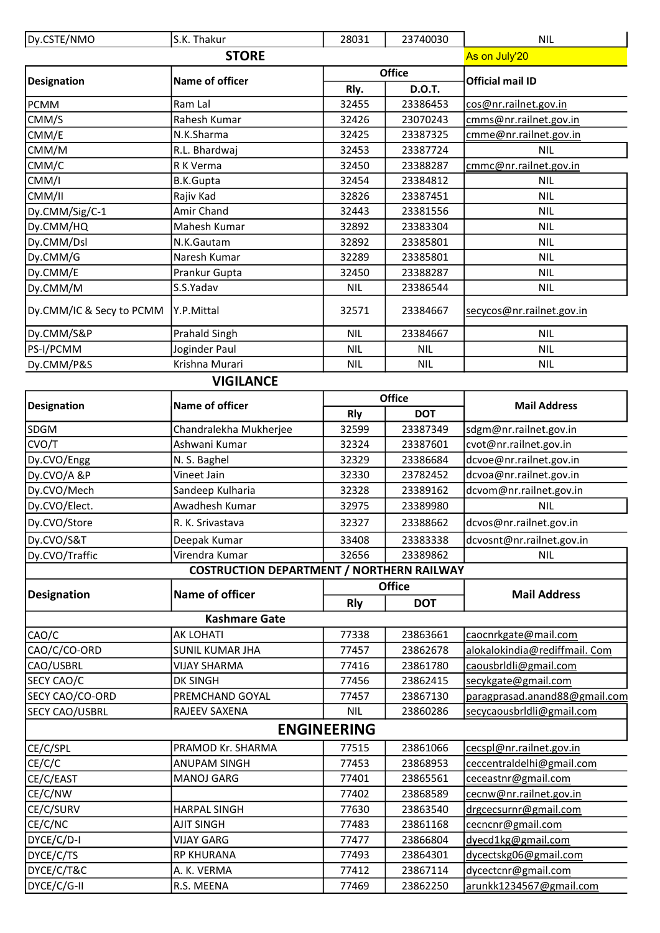| Dy.CSTE/NMO              | S.K. Thakur                                      | 28031              | 23740030      | <b>NIL</b>                                            |
|--------------------------|--------------------------------------------------|--------------------|---------------|-------------------------------------------------------|
|                          | As on July'20                                    |                    |               |                                                       |
|                          | <b>STORE</b>                                     |                    | <b>Office</b> | <b>Official mail ID</b>                               |
| <b>Designation</b>       | Name of officer                                  | Rly.               | <b>D.O.T.</b> |                                                       |
| <b>PCMM</b>              | Ram Lal                                          | 32455              | 23386453      | cos@nr.railnet.gov.in                                 |
| CMM/S                    | Rahesh Kumar                                     | 32426              | 23070243      | cmms@nr.railnet.gov.in                                |
| CMM/E                    | N.K.Sharma                                       | 32425              | 23387325      | cmme@nr.railnet.gov.in                                |
| CMM/M                    | R.L. Bhardwaj                                    | 32453              | 23387724      | <b>NIL</b>                                            |
| CMM/C                    | R K Verma                                        | 32450              | 23388287      | cmmc@nr.railnet.gov.in                                |
| CMM/I                    | <b>B.K.Gupta</b>                                 | 32454              | 23384812      | <b>NIL</b>                                            |
| CMM/II                   | Rajiv Kad                                        | 32826              | 23387451      | <b>NIL</b>                                            |
| Dy.CMM/Sig/C-1           | Amir Chand                                       | 32443              | 23381556      | <b>NIL</b>                                            |
| Dy.CMM/HQ                | Mahesh Kumar                                     | 32892              | 23383304      | <b>NIL</b>                                            |
| Dy.CMM/Dsl               | N.K.Gautam                                       | 32892              | 23385801      | <b>NIL</b>                                            |
| Dy.CMM/G                 | Naresh Kumar                                     | 32289              | 23385801      | <b>NIL</b>                                            |
| Dy.CMM/E                 | Prankur Gupta                                    | 32450              | 23388287      | NIL.                                                  |
| Dy.CMM/M                 | S.S.Yadav                                        | <b>NIL</b>         | 23386544      | <b>NIL</b>                                            |
| Dy.CMM/IC & Secy to PCMM | Y.P.Mittal                                       | 32571              | 23384667      | secycos@nr.railnet.gov.in                             |
| Dy.CMM/S&P               | <b>Prahald Singh</b>                             | <b>NIL</b>         | 23384667      | <b>NIL</b>                                            |
| PS-I/PCMM                | Joginder Paul                                    | <b>NIL</b>         | <b>NIL</b>    | <b>NIL</b>                                            |
| Dy.CMM/P&S               | Krishna Murari                                   | <b>NIL</b>         | <b>NIL</b>    | <b>NIL</b>                                            |
|                          | <b>VIGILANCE</b>                                 |                    |               |                                                       |
|                          |                                                  |                    | <b>Office</b> |                                                       |
| <b>Designation</b>       | Name of officer                                  | <b>Rly</b>         | <b>DOT</b>    | <b>Mail Address</b>                                   |
| SDGM                     | Chandralekha Mukherjee                           | 32599              | 23387349      | sdgm@nr.railnet.gov.in                                |
| CVO/T                    | Ashwani Kumar                                    | 32324              | 23387601      | cvot@nr.railnet.gov.in                                |
| Dy.CVO/Engg              | N. S. Baghel                                     | 32329              | 23386684      | dcvoe@nr.railnet.gov.in                               |
| Dy.CVO/A &P              | Vineet Jain                                      | 32330              | 23782452      | dcvoa@nr.railnet.gov.in                               |
| Dy.CVO/Mech              | Sandeep Kulharia                                 | 32328              | 23389162      | dcvom@nr.railnet.gov.in                               |
| Dy.CVO/Elect.            | Awadhesh Kumar                                   | 32975              | 23389980      | <b>NIL</b>                                            |
| Dy.CVO/Store             | R. K. Srivastava                                 | 32327              | 23388662      | dcvos@nr.railnet.gov.in                               |
| Dy.CVO/S&T               | Deepak Kumar                                     | 33408              | 23383338      | dcvosnt@nr.railnet.gov.in                             |
| Dy.CVO/Traffic           | Virendra Kumar                                   | 32656              | 23389862      | <b>NIL</b>                                            |
|                          | <b>COSTRUCTION DEPARTMENT / NORTHERN RAILWAY</b> |                    |               |                                                       |
|                          | <b>Office</b>                                    |                    |               |                                                       |
| <b>Designation</b>       | <b>Name of officer</b>                           | <b>Rly</b>         | <b>DOT</b>    | <b>Mail Address</b>                                   |
|                          | <b>Kashmare Gate</b>                             |                    |               |                                                       |
| CAO/C                    | <b>AK LOHATI</b>                                 | 77338              | 23863661      | caocnrkgate@mail.com                                  |
| CAO/C/CO-ORD             | <b>SUNIL KUMAR JHA</b>                           | 77457              | 23862678      | alokalokindia@rediffmail. Com                         |
| CAO/USBRL                | <b>VIJAY SHARMA</b>                              | 77416              | 23861780      | caousbridli@gmail.com                                 |
| SECY CAO/C               | <b>DK SINGH</b>                                  | 77456              | 23862415      | secykgate@gmail.com                                   |
| SECY CAO/CO-ORD          | PREMCHAND GOYAL                                  | 77457              | 23867130      | paragprasad.anand88@gmail.com                         |
| <b>SECY CAO/USBRL</b>    | RAJEEV SAXENA                                    | <b>NIL</b>         | 23860286      | secycaousbridli@gmail.com                             |
|                          |                                                  | <b>ENGINEERING</b> |               |                                                       |
|                          | PRAMOD Kr. SHARMA                                | 77515              | 23861066      |                                                       |
| CE/C/SPL<br>CE/C/C       | <b>ANUPAM SINGH</b>                              | 77453              | 23868953      | cecspl@nr.railnet.gov.in<br>ceccentraldelhi@gmail.com |
| CE/C/EAST                | <b>MANOJ GARG</b>                                | 77401              | 23865561      | ceceastnr@gmail.com                                   |
| CE/C/NW                  |                                                  | 77402              | 23868589      | cecnw@nr.railnet.gov.in                               |
| CE/C/SURV                | <b>HARPAL SINGH</b>                              | 77630              | 23863540      | drgcecsurnr@gmail.com                                 |
| CE/C/NC                  | <b>AJIT SINGH</b>                                | 77483              | 23861168      | cecncnr@gmail.com                                     |
| DYCE/C/D-I               | <b>VIJAY GARG</b>                                | 77477              | 23866804      | dyecd1kg@gmail.com                                    |
| DYCE/C/TS                | <b>RP KHURANA</b>                                | 77493              | 23864301      | dycectskg06@gmail.com                                 |
| DYCE/C/T&C               | A. K. VERMA                                      | 77412              | 23867114      | dycectcnr@gmail.com                                   |
| DYCE/C/G-II              | R.S. MEENA                                       | 77469              | 23862250      | arunkk1234567@gmail.com                               |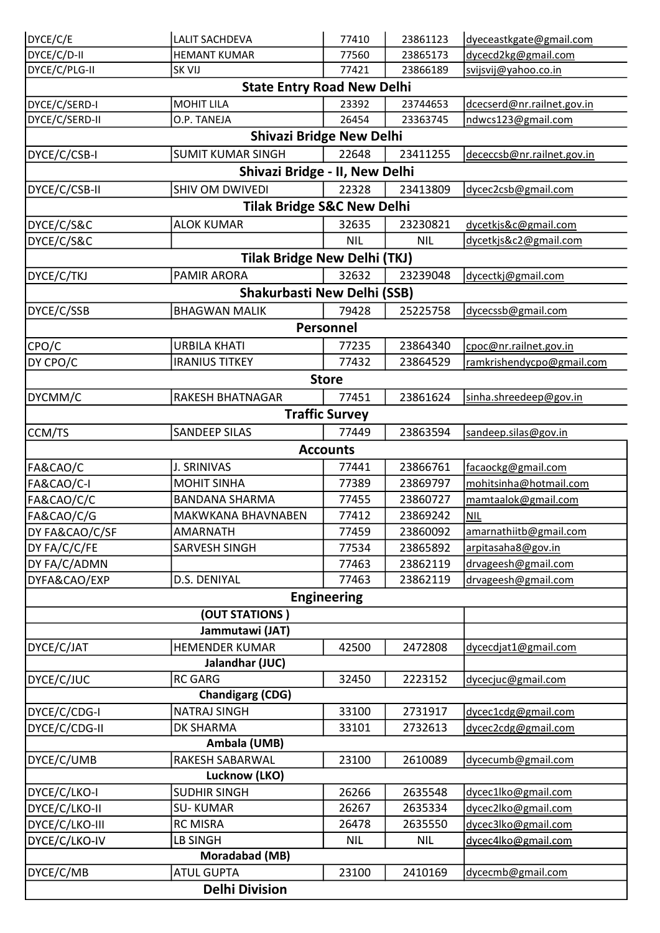| DYCE/C/E                          | <b>LALIT SACHDEVA</b>                 | 77410                 | 23861123   | dyeceastkgate@gmail.com    |  |  |
|-----------------------------------|---------------------------------------|-----------------------|------------|----------------------------|--|--|
| DYCE/C/D-II                       | <b>HEMANT KUMAR</b>                   | 77560                 | 23865173   | dycecd2kg@gmail.com        |  |  |
| DYCE/C/PLG-II                     | <b>SK VIJ</b>                         | 77421                 | 23866189   | svijsvij@yahoo.co.in       |  |  |
| <b>State Entry Road New Delhi</b> |                                       |                       |            |                            |  |  |
| DYCE/C/SERD-I                     | <b>MOHIT LILA</b>                     | 23392                 | 23744653   | dcecserd@nr.railnet.gov.in |  |  |
| DYCE/C/SERD-II                    | O.P. TANEJA                           | 26454                 | 23363745   | ndwcs123@gmail.com         |  |  |
|                                   | <b>Shivazi Bridge New Delhi</b>       |                       |            |                            |  |  |
| DYCE/C/CSB-I                      | <b>SUMIT KUMAR SINGH</b>              | 22648                 | 23411255   | dececcsb@nr.railnet.gov.in |  |  |
|                                   | Shivazi Bridge - II, New Delhi        |                       |            |                            |  |  |
| DYCE/C/CSB-II                     | SHIV OM DWIVEDI                       | 22328                 | 23413809   | dycec2csb@gmail.com        |  |  |
|                                   | <b>Tilak Bridge S&amp;C New Delhi</b> |                       |            |                            |  |  |
| DYCE/C/S&C                        | <b>ALOK KUMAR</b>                     | 32635                 | 23230821   | dycetkjs&c@gmail.com       |  |  |
| DYCE/C/S&C                        |                                       | <b>NIL</b>            | <b>NIL</b> | dycetkjs&c2@gmail.com      |  |  |
|                                   | <b>Tilak Bridge New Delhi (TKJ)</b>   |                       |            |                            |  |  |
| DYCE/C/TKJ                        | <b>PAMIR ARORA</b>                    | 32632                 | 23239048   | dycectkj@gmail.com         |  |  |
|                                   | <b>Shakurbasti New Delhi (SSB)</b>    |                       |            |                            |  |  |
| DYCE/C/SSB                        | <b>BHAGWAN MALIK</b>                  | 79428                 | 25225758   | dycecssb@gmail.com         |  |  |
|                                   |                                       | Personnel             |            |                            |  |  |
|                                   |                                       |                       |            |                            |  |  |
| CPO/C                             | <b>URBILA KHATI</b>                   | 77235                 | 23864340   | cpoc@nr.railnet.gov.in     |  |  |
| DY CPO/C                          | <b>IRANIUS TITKEY</b>                 | 77432                 | 23864529   | ramkrishendycpo@gmail.com  |  |  |
|                                   |                                       | <b>Store</b>          |            |                            |  |  |
| DYCMM/C                           | RAKESH BHATNAGAR                      | 77451                 | 23861624   | sinha.shreedeep@gov.in     |  |  |
|                                   |                                       | <b>Traffic Survey</b> |            |                            |  |  |
| CCM/TS                            | <b>SANDEEP SILAS</b>                  | 77449                 | 23863594   | sandeep.silas@gov.in       |  |  |
|                                   |                                       | <b>Accounts</b>       |            |                            |  |  |
| FA&CAO/C                          | <b>J. SRINIVAS</b>                    | 77441                 | 23866761   | facaockg@gmail.com         |  |  |
| FA&CAO/C-I                        | <b>MOHIT SINHA</b>                    | 77389                 | 23869797   | mohitsinha@hotmail.com     |  |  |
| FA&CAO/C/C                        | <b>BANDANA SHARMA</b>                 | 77455                 | 23860727   | mamtaalok@gmail.com        |  |  |
| FA&CAO/C/G                        | MAKWKANA BHAVNABEN                    | 77412                 | 23869242   | <b>NIL</b>                 |  |  |
| DY FA&CAO/C/SF                    | <b>AMARNATH</b>                       | 77459                 | 23860092   | amarnathiitb@gmail.com     |  |  |
| DY FA/C/C/FE                      | SARVESH SINGH                         | 77534                 | 23865892   | arpitasaha8@gov.in         |  |  |
| DY FA/C/ADMN                      |                                       | 77463                 | 23862119   | drvageesh@gmail.com        |  |  |
| DYFA&CAO/EXP                      | D.S. DENIYAL                          | 77463                 | 23862119   | drvageesh@gmail.com        |  |  |
|                                   |                                       | <b>Engineering</b>    |            |                            |  |  |
|                                   | (OUT STATIONS)                        |                       |            |                            |  |  |
|                                   | Jammutawi (JAT)                       |                       |            |                            |  |  |
| DYCE/C/JAT                        | <b>HEMENDER KUMAR</b>                 | 42500                 | 2472808    | dycecdjat1@gmail.com       |  |  |
|                                   | Jalandhar (JUC)                       |                       |            |                            |  |  |
| DYCE/C/JUC                        | <b>RC GARG</b>                        | 32450                 | 2223152    | dycecjuc@gmail.com         |  |  |
|                                   | <b>Chandigarg (CDG)</b>               |                       |            |                            |  |  |
| DYCE/C/CDG-I                      | <b>NATRAJ SINGH</b>                   | 33100                 | 2731917    | dycec1cdg@gmail.com        |  |  |
| DYCE/C/CDG-II                     | DK SHARMA                             | 33101                 | 2732613    | dycec2cdg@gmail.com        |  |  |
|                                   | Ambala (UMB)                          |                       |            |                            |  |  |
| DYCE/C/UMB                        | RAKESH SABARWAL<br>Lucknow (LKO)      | 23100                 | 2610089    | dycecumb@gmail.com         |  |  |
|                                   |                                       |                       |            |                            |  |  |
| DYCE/C/LKO-I                      | <b>SUDHIR SINGH</b>                   | 26266                 | 2635548    | dycec1lko@gmail.com        |  |  |
| DYCE/C/LKO-II                     | <b>SU-KUMAR</b>                       | 26267                 | 2635334    | dycec2lko@gmail.com        |  |  |
| DYCE/C/LKO-III                    | <b>RC MISRA</b>                       | 26478                 | 2635550    | dycec3lko@gmail.com        |  |  |
| DYCE/C/LKO-IV                     | <b>LB SINGH</b>                       | <b>NIL</b>            | NIL        | dycec4lko@gmail.com        |  |  |
|                                   | Moradabad (MB)                        |                       |            |                            |  |  |
| DYCE/C/MB                         | <b>ATUL GUPTA</b>                     | 23100                 | 2410169    | dycecmb@gmail.com          |  |  |
|                                   | <b>Delhi Division</b>                 |                       |            |                            |  |  |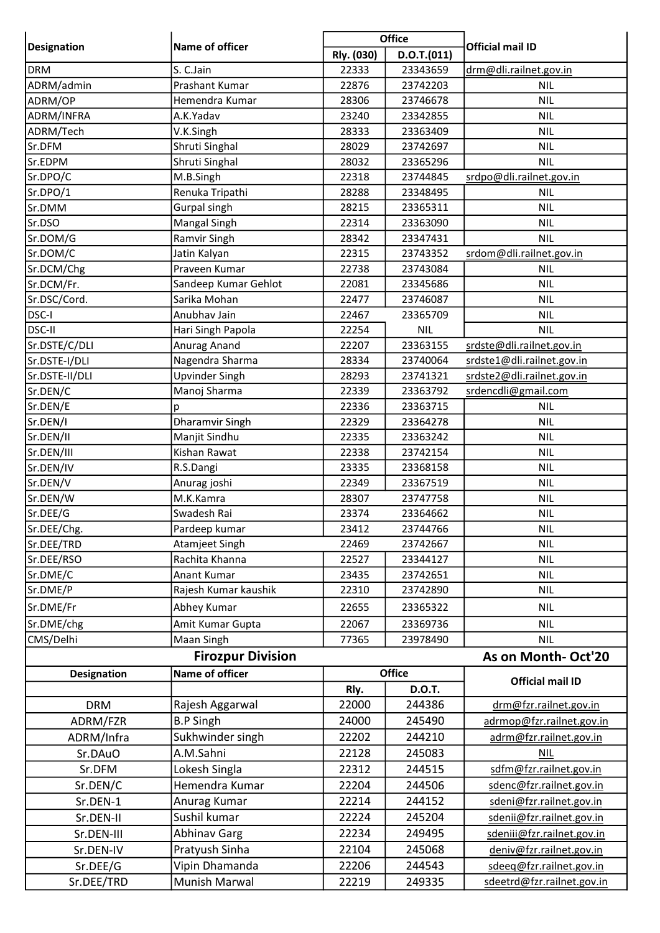|                    | Name of officer          | <b>Office</b> |               | <b>Official mail ID</b>    |
|--------------------|--------------------------|---------------|---------------|----------------------------|
| <b>Designation</b> |                          | Rly. (030)    | D.O.T.(011)   |                            |
| <b>DRM</b>         | S. C.Jain                | 22333         | 23343659      | drm@dli.railnet.gov.in     |
| ADRM/admin         | Prashant Kumar           | 22876         | 23742203      | <b>NIL</b>                 |
| ADRM/OP            | Hemendra Kumar           | 28306         | 23746678      | <b>NIL</b>                 |
| ADRM/INFRA         | A.K.Yadav                | 23240         | 23342855      | <b>NIL</b>                 |
| ADRM/Tech          | V.K.Singh                | 28333         | 23363409      | <b>NIL</b>                 |
| Sr.DFM             | Shruti Singhal           | 28029         | 23742697      | <b>NIL</b>                 |
| Sr.EDPM            | Shruti Singhal           | 28032         | 23365296      | <b>NIL</b>                 |
| Sr.DPO/C           | M.B.Singh                | 22318         | 23744845      | srdpo@dli.railnet.gov.in   |
| Sr.DPO/1           | Renuka Tripathi          | 28288         | 23348495      | <b>NIL</b>                 |
| Sr.DMM             | Gurpal singh             | 28215         | 23365311      | <b>NIL</b>                 |
| Sr.DSO             | Mangal Singh             | 22314         | 23363090      | <b>NIL</b>                 |
| Sr.DOM/G           | Ramvir Singh             | 28342         | 23347431      | <b>NIL</b>                 |
| Sr.DOM/C           | Jatin Kalyan             | 22315         | 23743352      | srdom@dli.railnet.gov.in   |
| Sr.DCM/Chg         | Praveen Kumar            | 22738         | 23743084      | <b>NIL</b>                 |
| Sr.DCM/Fr.         | Sandeep Kumar Gehlot     | 22081         | 23345686      | <b>NIL</b>                 |
| Sr.DSC/Cord.       | Sarika Mohan             | 22477         | 23746087      | NIL.                       |
| DSC-I              | Anubhav Jain             | 22467         | 23365709      | <b>NIL</b>                 |
| <b>DSC-II</b>      | Hari Singh Papola        | 22254         | <b>NIL</b>    | <b>NIL</b>                 |
| Sr.DSTE/C/DLI      | Anurag Anand             | 22207         | 23363155      | srdste@dli.railnet.gov.in  |
| Sr.DSTE-I/DLI      | Nagendra Sharma          | 28334         | 23740064      | srdste1@dli.railnet.gov.in |
| Sr.DSTE-II/DLI     | <b>Upvinder Singh</b>    | 28293         | 23741321      | srdste2@dli.railnet.gov.in |
| Sr.DEN/C           | Manoj Sharma             | 22339         | 23363792      | srdencdli@gmail.com        |
| Sr.DEN/E           | p                        | 22336         | 23363715      | <b>NIL</b>                 |
| Sr.DEN/I           | Dharamvir Singh          | 22329         | 23364278      | <b>NIL</b>                 |
| Sr.DEN/II          | Manjit Sindhu            | 22335         | 23363242      | <b>NIL</b>                 |
| Sr.DEN/III         | Kishan Rawat             | 22338         | 23742154      | <b>NIL</b>                 |
| Sr.DEN/IV          | R.S.Dangi                | 23335         | 23368158      | <b>NIL</b>                 |
| Sr.DEN/V           | Anurag joshi             | 22349         | 23367519      | <b>NIL</b>                 |
| Sr.DEN/W           | M.K.Kamra                | 28307         | 23747758      | NIL.                       |
| Sr.DEE/G           | Swadesh Rai              | 23374         | 23364662      | <b>NIL</b>                 |
| Sr.DEE/Chg.        | Pardeep kumar            | 23412         | 23744766      | <b>NIL</b>                 |
| Sr.DEE/TRD         | Atamjeet Singh           | 22469         | 23742667      | <b>NIL</b>                 |
| Sr.DEE/RSO         | Rachita Khanna           | 22527         | 23344127      | <b>NIL</b>                 |
| Sr.DME/C           | Anant Kumar              | 23435         | 23742651      | <b>NIL</b>                 |
| Sr.DME/P           | Rajesh Kumar kaushik     | 22310         | 23742890      | <b>NIL</b>                 |
| Sr.DME/Fr          | Abhey Kumar              | 22655         | 23365322      | <b>NIL</b>                 |
| Sr.DME/chg         | Amit Kumar Gupta         | 22067         | 23369736      | <b>NIL</b>                 |
| CMS/Delhi          | Maan Singh               | 77365         | 23978490      | <b>NIL</b>                 |
|                    | <b>Firozpur Division</b> |               |               | As on Month-Oct'20         |
|                    | Name of officer          |               | <b>Office</b> |                            |
| <b>Designation</b> |                          |               | <b>D.O.T.</b> | <b>Official mail ID</b>    |
|                    |                          | Rly.          |               |                            |
| <b>DRM</b>         | Rajesh Aggarwal          | 22000         | 244386        | drm@fzr.railnet.gov.in     |
| ADRM/FZR           | <b>B.P Singh</b>         | 24000         | 245490        | adrmop@fzr.railnet.gov.in  |
| ADRM/Infra         | Sukhwinder singh         | 22202         | 244210        | adrm@fzr.railnet.gov.in    |
| Sr.DAuO            | A.M.Sahni                | 22128         | 245083        | <b>NIL</b>                 |
| Sr.DFM             | Lokesh Singla            | 22312         | 244515        | sdfm@fzr.railnet.gov.in    |
| Sr.DEN/C           | Hemendra Kumar           | 22204         | 244506        | sdenc@fzr.railnet.gov.in   |
| Sr.DEN-1           | Anurag Kumar             | 22214         | 244152        | sdeni@fzr.railnet.gov.in   |
| Sr.DEN-II          | Sushil kumar             | 22224         | 245204        | sdenii@fzr.railnet.gov.in  |
| Sr.DEN-III         | <b>Abhinav Garg</b>      | 22234         | 249495        | sdeniii@fzr.railnet.gov.in |
| Sr.DEN-IV          | Pratyush Sinha           | 22104         | 245068        | deniv@fzr.railnet.gov.in   |
| Sr.DEE/G           | Vipin Dhamanda           | 22206         | 244543        | sdeeq@fzr.railnet.gov.in   |
| Sr.DEE/TRD         | Munish Marwal            | 22219         | 249335        | sdeetrd@fzr.railnet.gov.in |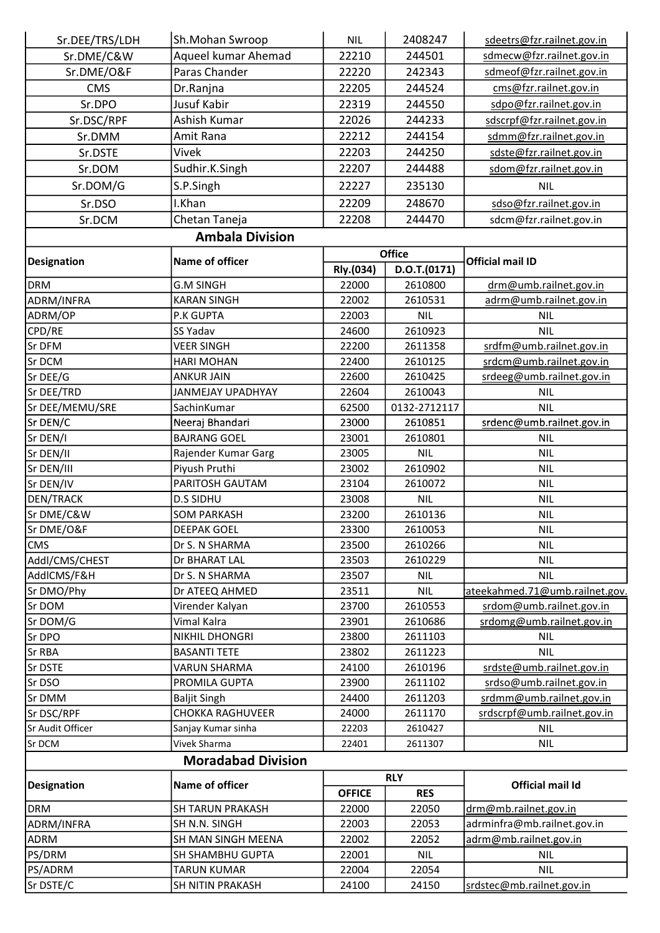| Sr.DEE/TRS/LDH     | Sh.Mohan Swroop           | <b>NIL</b>    | 2408247      | sdeetrs@fzr.railnet.gov.in     |
|--------------------|---------------------------|---------------|--------------|--------------------------------|
| Sr.DME/C&W         | Aqueel kumar Ahemad       | 22210         | 244501       | sdmecw@fzr.railnet.gov.in      |
| Sr.DME/O&F         | Paras Chander             | 22220         | 242343       | sdmeof@fzr.railnet.gov.in      |
| <b>CMS</b>         | Dr.Ranjna                 | 22205         | 244524       | cms@fzr.railnet.gov.in         |
| Sr.DPO             | <b>Jusuf Kabir</b>        | 22319         | 244550       | sdpo@fzr.railnet.gov.in        |
| Sr.DSC/RPF         | Ashish Kumar              | 22026         | 244233       | sdscrpf@fzr.railnet.gov.in     |
| Sr.DMM             | Amit Rana                 | 22212         | 244154       | sdmm@fzr.railnet.gov.in        |
| Sr.DSTE            | Vivek                     | 22203         | 244250       | sdste@fzr.railnet.gov.in       |
| Sr.DOM             | Sudhir.K.Singh            | 22207         | 244488       | sdom@fzr.railnet.gov.in        |
|                    |                           |               |              | <b>NIL</b>                     |
| Sr.DOM/G           | S.P.Singh                 | 22227         | 235130       |                                |
| Sr.DSO             | I.Khan                    | 22209         | 248670       | sdso@fzr.railnet.gov.in        |
| Sr.DCM             | Chetan Taneja             | 22208         | 244470       | sdcm@fzr.railnet.gov.in        |
|                    | <b>Ambala Division</b>    |               |              |                                |
| <b>Designation</b> | Name of officer           |               | Office       | <b>Official mail ID</b>        |
|                    |                           | Rly.(034)     | D.O.T.(0171) |                                |
| <b>DRM</b>         | <b>G.M SINGH</b>          | 22000         | 2610800      | drm@umb.railnet.gov.in         |
| ADRM/INFRA         | <b>KARAN SINGH</b>        | 22002         | 2610531      | adrm@umb.railnet.gov.in        |
| ADRM/OP            | <b>P.K GUPTA</b>          | 22003         | <b>NIL</b>   | <b>NIL</b>                     |
| CPD/RE             | <b>SS Yadav</b>           | 24600         | 2610923      | <b>NIL</b>                     |
| Sr DFM             | <b>VEER SINGH</b>         | 22200         | 2611358      | srdfm@umb.railnet.gov.in       |
| Sr DCM             | <b>HARI MOHAN</b>         | 22400         | 2610125      | srdcm@umb.railnet.gov.in       |
| Sr DEE/G           | <b>ANKUR JAIN</b>         | 22600         | 2610425      | srdeeg@umb.railnet.gov.in      |
| Sr DEE/TRD         | JANMEJAY UPADHYAY         | 22604         | 2610043      | <b>NIL</b>                     |
| Sr DEE/MEMU/SRE    | SachinKumar               | 62500         | 0132-2712117 | <b>NIL</b>                     |
| Sr DEN/C           | Neeraj Bhandari           | 23000         | 2610851      | srdenc@umb.railnet.gov.in      |
| Sr DEN/I           | <b>BAJRANG GOEL</b>       | 23001         | 2610801      | <b>NIL</b>                     |
| Sr DEN/II          | Rajender Kumar Garg       | 23005         | <b>NIL</b>   | <b>NIL</b>                     |
| Sr DEN/III         | Piyush Pruthi             | 23002         | 2610902      | <b>NIL</b>                     |
| Sr DEN/IV          | PARITOSH GAUTAM           | 23104         | 2610072      | <b>NIL</b>                     |
| <b>DEN/TRACK</b>   | <b>D.S SIDHU</b>          | 23008         | <b>NIL</b>   | <b>NIL</b>                     |
| Sr DME/C&W         | <b>SOM PARKASH</b>        | 23200         | 2610136      | <b>NIL</b>                     |
| Sr DME/O&F         | <b>DEEPAK GOEL</b>        | 23300         | 2610053      | <b>NIL</b>                     |
| <b>CMS</b>         | Dr S. N SHARMA            | 23500         | 2610266      | <b>NIL</b>                     |
| Addl/CMS/CHEST     | Dr BHARAT LAL             | 23503         | 2610229      | <b>NIL</b>                     |
| AddICMS/F&H        | Dr S. N SHARMA            | 23507         | <b>NIL</b>   | <b>NIL</b>                     |
| Sr DMO/Phy         | Dr ATEEQ AHMED            | 23511         | <b>NIL</b>   | ateekahmed.71@umb.railnet.gov. |
| Sr DOM             | Virender Kalyan           | 23700         | 2610553      | srdom@umb.railnet.gov.in       |
| Sr DOM/G           | Vimal Kalra               | 23901         | 2610686      | srdomg@umb.railnet.gov.in      |
| Sr DPO             | NIKHIL DHONGRI            | 23800         | 2611103      | <b>NIL</b>                     |
| Sr RBA             | <b>BASANTI TETE</b>       | 23802         | 2611223      | <b>NIL</b>                     |
| Sr DSTE            | <b>VARUN SHARMA</b>       | 24100         | 2610196      | srdste@umb.railnet.gov.in      |
| Sr DSO             | PROMILA GUPTA             | 23900         | 2611102      | srdso@umb.railnet.gov.in       |
| Sr DMM             | <b>Baljit Singh</b>       | 24400         | 2611203      | srdmm@umb.railnet.gov.in       |
| Sr DSC/RPF         | <b>CHOKKA RAGHUVEER</b>   | 24000         | 2611170      | srdscrpf@umb.railnet.gov.in    |
| Sr Audit Officer   | Sanjay Kumar sinha        | 22203         | 2610427      | <b>NIL</b>                     |
| Sr DCM             | Vivek Sharma              | 22401         | 2611307      | <b>NIL</b>                     |
|                    | <b>Moradabad Division</b> |               |              |                                |
| <b>Designation</b> | Name of officer           |               | <b>RLY</b>   | <b>Official mail Id</b>        |
|                    |                           | <b>OFFICE</b> | <b>RES</b>   |                                |
| <b>DRM</b>         | <b>SH TARUN PRAKASH</b>   | 22000         | 22050        | drm@mb.railnet.gov.in          |
| ADRM/INFRA         | SH N.N. SINGH             | 22003         | 22053        | adrminfra@mb.railnet.gov.in    |
| <b>ADRM</b>        | SH MAN SINGH MEENA        | 22002         | 22052        | adrm@mb.railnet.gov.in         |
| PS/DRM             | <b>SH SHAMBHU GUPTA</b>   | 22001         | <b>NIL</b>   | <b>NIL</b>                     |
| PS/ADRM            | <b>TARUN KUMAR</b>        | 22004         | 22054        | <b>NIL</b>                     |
| Sr DSTE/C          | <b>SH NITIN PRAKASH</b>   | 24100         | 24150        | srdstec@mb.railnet.gov.in      |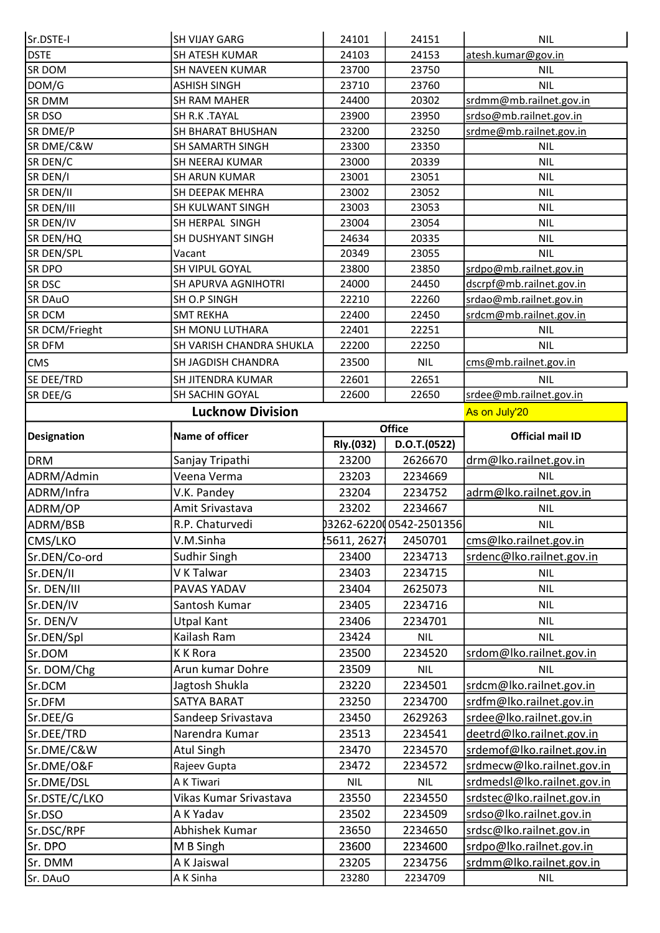| Sr.DSTE-I                                                                                                                                                                                      | <b>SH VIJAY GARG</b>     | 24101          | 24151                   | <b>NIL</b>                             |
|------------------------------------------------------------------------------------------------------------------------------------------------------------------------------------------------|--------------------------|----------------|-------------------------|----------------------------------------|
| <b>DSTE</b>                                                                                                                                                                                    | <b>SH ATESH KUMAR</b>    | 24103          | 24153                   | atesh.kumar@gov.in                     |
| SR DOM                                                                                                                                                                                         | SH NAVEEN KUMAR          | 23700          | 23750                   | <b>NIL</b>                             |
| DOM/G                                                                                                                                                                                          | <b>ASHISH SINGH</b>      | 23710          | 23760                   | <b>NIL</b>                             |
| <b>SR DMM</b>                                                                                                                                                                                  | SH RAM MAHER             | 24400          | 20302                   | srdmm@mb.railnet.gov.in                |
| SR DSO                                                                                                                                                                                         | SH R.K .TAYAL            | 23900          | 23950                   | srdso@mb.railnet.gov.in                |
| SR DME/P                                                                                                                                                                                       | SH BHARAT BHUSHAN        | 23200          | 23250                   | srdme@mb.railnet.gov.in                |
| SR DME/C&W                                                                                                                                                                                     | <b>SH SAMARTH SINGH</b>  | 23300          | 23350                   | <b>NIL</b>                             |
| SR DEN/C                                                                                                                                                                                       | SH NEERAJ KUMAR          | 23000          | 20339                   | <b>NIL</b>                             |
| SR DEN/I                                                                                                                                                                                       | <b>SH ARUN KUMAR</b>     | 23001          | 23051                   | <b>NIL</b>                             |
| SR DEN/II                                                                                                                                                                                      | SH DEEPAK MEHRA          | 23002          | 23052                   | NIL.                                   |
| SR DEN/III                                                                                                                                                                                     | SH KULWANT SINGH         | 23003          | 23053                   | <b>NIL</b>                             |
| SR DEN/IV                                                                                                                                                                                      | SH HERPAL SINGH          | 23004          | 23054                   | <b>NIL</b>                             |
| SR DEN/HQ                                                                                                                                                                                      | SH DUSHYANT SINGH        | 24634          | 20335                   | <b>NIL</b>                             |
| SR DEN/SPL                                                                                                                                                                                     | Vacant                   | 20349          | 23055                   | <b>NIL</b>                             |
| <b>SR DPO</b>                                                                                                                                                                                  | SH VIPUL GOYAL           | 23800          | 23850                   | srdpo@mb.railnet.gov.in                |
| <b>SR DSC</b>                                                                                                                                                                                  | SH APURVA AGNIHOTRI      | 24000          | 24450                   | dscrpf@mb.railnet.gov.in               |
| SR DAuO                                                                                                                                                                                        | <b>SH O.P SINGH</b>      | 22210          | 22260                   | srdao@mb.railnet.gov.in                |
| <b>SR DCM</b>                                                                                                                                                                                  | <b>SMT REKHA</b>         | 22400          | 22450                   | srdcm@mb.railnet.gov.in                |
| SR DCM/Frieght                                                                                                                                                                                 | SH MONU LUTHARA          | 22401          | 22251                   | <b>NIL</b>                             |
| SR DFM                                                                                                                                                                                         | SH VARISH CHANDRA SHUKLA | 22200          | 22250                   | <b>NIL</b>                             |
| <b>CMS</b>                                                                                                                                                                                     | SH JAGDISH CHANDRA       | 23500          | <b>NIL</b>              | cms@mb.railnet.gov.in                  |
| SE DEE/TRD                                                                                                                                                                                     | SH JITENDRA KUMAR        | 22601          | 22651                   | <b>NIL</b>                             |
| SR DEE/G                                                                                                                                                                                       | SH SACHIN GOYAL          | 22600          | 22650                   | srdee@mb.railnet.gov.in                |
|                                                                                                                                                                                                | <b>Lucknow Division</b>  |                |                         | As on July'20                          |
|                                                                                                                                                                                                | Name of officer          | <b>Office</b>  |                         |                                        |
| <b>Designation</b>                                                                                                                                                                             |                          | Rly.(032)      | D.O.T.(0522)            | <b>Official mail ID</b>                |
|                                                                                                                                                                                                |                          |                |                         |                                        |
|                                                                                                                                                                                                | Sanjay Tripathi          | 23200          | 2626670                 | drm@lko.railnet.gov.in                 |
|                                                                                                                                                                                                | Veena Verma              | 23203          | 2234669                 | NIL.                                   |
|                                                                                                                                                                                                | V.K. Pandey              | 23204          | 2234752                 | adrm@lko.railnet.gov.in                |
| DRM<br>ADRM/Admin<br>ADRM/Infra                                                                                                                                                                | Amit Srivastava          | 23202          | 2234667                 | <b>NIL</b>                             |
|                                                                                                                                                                                                | R.P. Chaturvedi          |                | 03262-622000542-2501356 | <b>NIL</b>                             |
|                                                                                                                                                                                                | V.M.Sinha                | 5611, 2627     | 2450701                 |                                        |
| ADRM/OP<br>ADRM/BSB<br>CMS/LKO                                                                                                                                                                 |                          |                |                         | cms@lko.railnet.gov.in                 |
|                                                                                                                                                                                                | Sudhir Singh             | 23400          | 2234713                 | srdenc@lko.railnet.gov.in              |
|                                                                                                                                                                                                | V K Talwar               | 23403          | 2234715                 | <b>NIL</b>                             |
| Sr.DEN/Co-ord<br>Sr.DEN/II<br>Sr. DEN/III                                                                                                                                                      | PAVAS YADAV              | 23404          | 2625073                 | <b>NIL</b>                             |
|                                                                                                                                                                                                | Santosh Kumar            | 23405          | 2234716                 | <b>NIL</b>                             |
|                                                                                                                                                                                                | <b>Utpal Kant</b>        | 23406          | 2234701                 | <b>NIL</b>                             |
|                                                                                                                                                                                                | Kailash Ram              | 23424          | <b>NIL</b>              | <b>NIL</b>                             |
|                                                                                                                                                                                                | <b>KK Rora</b>           | 23500          | 2234520                 | srdom@lko.railnet.gov.in               |
|                                                                                                                                                                                                | Arun kumar Dohre         | 23509          | <b>NIL</b>              | <b>NIL</b>                             |
|                                                                                                                                                                                                | Jagtosh Shukla           | 23220          | 2234501                 | srdcm@lko.railnet.gov.in               |
|                                                                                                                                                                                                | <b>SATYA BARAT</b>       | 23250          | 2234700                 | srdfm@lko.railnet.gov.in               |
|                                                                                                                                                                                                | Sandeep Srivastava       | 23450          | 2629263                 | srdee@lko.railnet.gov.in               |
|                                                                                                                                                                                                | Narendra Kumar           | 23513          | 2234541                 | deetrd@lko.railnet.gov.in              |
|                                                                                                                                                                                                | Atul Singh               | 23470          | 2234570                 | srdemof@lko.railnet.gov.in             |
|                                                                                                                                                                                                | Rajeev Gupta             | 23472          | 2234572                 | srdmecw@lko.railnet.gov.in             |
|                                                                                                                                                                                                | A K Tiwari               | <b>NIL</b>     | <b>NIL</b>              | srdmedsl@lko.railnet.gov.in            |
|                                                                                                                                                                                                | Vikas Kumar Srivastava   | 23550          | 2234550                 | srdstec@lko.railnet.gov.in             |
|                                                                                                                                                                                                | A K Yadav                | 23502          | 2234509                 | srdso@lko.railnet.gov.in               |
| Sr.DEN/IV<br>Sr. DEN/V<br>Sr.DEN/Spl<br>Sr.DOM<br>Sr. DOM/Chg<br>Sr.DCM<br>Sr.DFM<br>Sr.DEE/G<br>Sr.DEE/TRD<br>Sr.DME/C&W<br>Sr.DME/O&F<br>Sr.DME/DSL<br>Sr.DSTE/C/LKO<br>Sr.DSO<br>Sr.DSC/RPF | Abhishek Kumar           | 23650          | 2234650                 | srdsc@lko.railnet.gov.in               |
| Sr. DPO                                                                                                                                                                                        | M B Singh                | 23600          | 2234600                 | srdpo@lko.railnet.gov.in               |
| Sr. DMM<br>Sr. DAuO                                                                                                                                                                            | A K Jaiswal<br>A K Sinha | 23205<br>23280 | 2234756<br>2234709      | srdmm@lko.railnet.gov.in<br><b>NIL</b> |